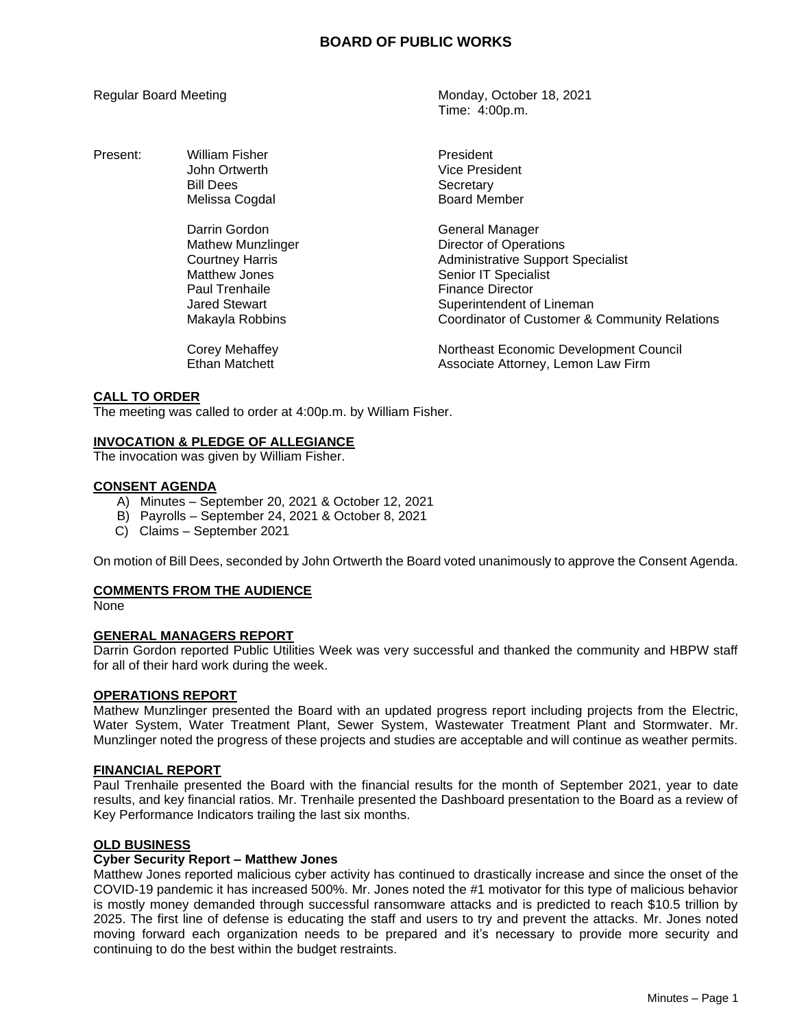# **BOARD OF PUBLIC WORKS**

Regular Board Meeting Monday, October 18, 2021 Time: 4:00p.m.

| Present: | William Fisher<br>John Ortwerth<br><b>Bill Dees</b><br>Melissa Cogdal                                                                             | President<br><b>Vice President</b><br>Secretary<br><b>Board Member</b>                                                                                                                                                               |
|----------|---------------------------------------------------------------------------------------------------------------------------------------------------|--------------------------------------------------------------------------------------------------------------------------------------------------------------------------------------------------------------------------------------|
|          | Darrin Gordon<br><b>Mathew Munzlinger</b><br><b>Courtney Harris</b><br>Matthew Jones<br>Paul Trenhaile<br><b>Jared Stewart</b><br>Makayla Robbins | General Manager<br><b>Director of Operations</b><br><b>Administrative Support Specialist</b><br><b>Senior IT Specialist</b><br><b>Finance Director</b><br>Superintendent of Lineman<br>Coordinator of Customer & Community Relations |
|          | Corey Mehaffey<br><b>Ethan Matchett</b>                                                                                                           | Northeast Economic Development Council<br>Associate Attorney, Lemon Law Firm                                                                                                                                                         |

## **CALL TO ORDER**

The meeting was called to order at 4:00p.m. by William Fisher.

#### **INVOCATION & PLEDGE OF ALLEGIANCE**

The invocation was given by William Fisher.

#### **CONSENT AGENDA**

- A) Minutes September 20, 2021 & October 12, 2021
- B) Payrolls September 24, 2021 & October 8, 2021
- C) Claims September 2021

On motion of Bill Dees, seconded by John Ortwerth the Board voted unanimously to approve the Consent Agenda.

## **COMMENTS FROM THE AUDIENCE**

None

## **GENERAL MANAGERS REPORT**

Darrin Gordon reported Public Utilities Week was very successful and thanked the community and HBPW staff for all of their hard work during the week.

#### **OPERATIONS REPORT**

Mathew Munzlinger presented the Board with an updated progress report including projects from the Electric, Water System, Water Treatment Plant, Sewer System, Wastewater Treatment Plant and Stormwater. Mr. Munzlinger noted the progress of these projects and studies are acceptable and will continue as weather permits.

#### **FINANCIAL REPORT**

Paul Trenhaile presented the Board with the financial results for the month of September 2021, year to date results, and key financial ratios. Mr. Trenhaile presented the Dashboard presentation to the Board as a review of Key Performance Indicators trailing the last six months.

#### **OLD BUSINESS**

# **Cyber Security Report – Matthew Jones**

Matthew Jones reported malicious cyber activity has continued to drastically increase and since the onset of the COVID-19 pandemic it has increased 500%. Mr. Jones noted the #1 motivator for this type of malicious behavior is mostly money demanded through successful ransomware attacks and is predicted to reach \$10.5 trillion by 2025. The first line of defense is educating the staff and users to try and prevent the attacks. Mr. Jones noted moving forward each organization needs to be prepared and it's necessary to provide more security and continuing to do the best within the budget restraints.